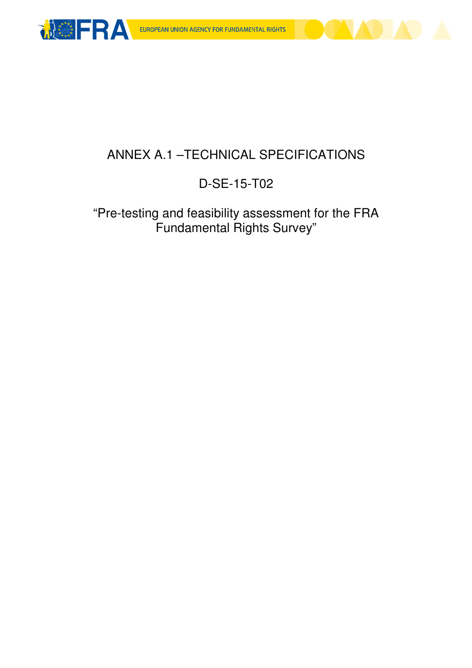



### ANNEX A.1 –TECHNICAL SPECIFICATIONS

### D-SE-15-T02

### "Pre-testing and feasibility assessment for the FRA Fundamental Rights Survey"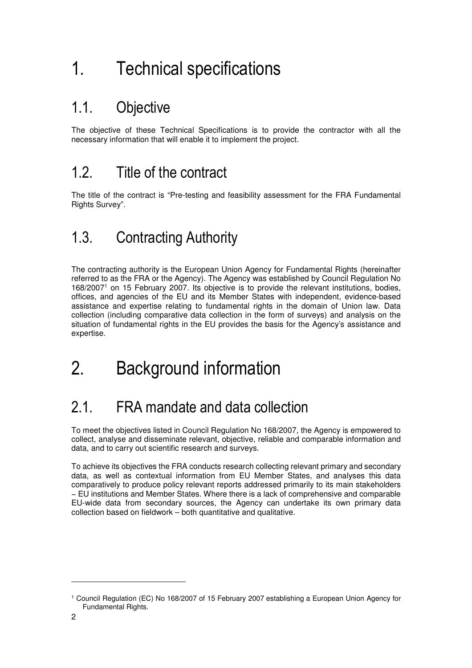# 1. Technical specifications

## 1.1. Objective

The objective of these Technical Specifications is to provide the contractor with all the necessary information that will enable it to implement the project.

### 1.2. Title of the contract

The title of the contract is "Pre-testing and feasibility assessment for the FRA Fundamental Rights Survey".

## 1.3. Contracting Authority

The contracting authority is the European Union Agency for Fundamental Rights (hereinafter referred to as the FRA or the Agency). The Agency was established by Council Regulation No 168/2007<sup>1</sup> on 15 February 2007. Its objective is to provide the relevant institutions, bodies, offices, and agencies of the EU and its Member States with independent, evidence-based assistance and expertise relating to fundamental rights in the domain of Union law. Data collection (including comparative data collection in the form of surveys) and analysis on the situation of fundamental rights in the EU provides the basis for the Agency's assistance and expertise.

# 2. Background information

## 2.1. FRA mandate and data collection

To meet the objectives listed in Council Regulation No 168/2007, the Agency is empowered to collect, analyse and disseminate relevant, objective, reliable and comparable information and data, and to carry out scientific research and surveys.

To achieve its objectives the FRA conducts research collecting relevant primary and secondary data, as well as contextual information from EU Member States, and analyses this data comparatively to produce policy relevant reports addressed primarily to its main stakeholders − EU institutions and Member States. Where there is a lack of comprehensive and comparable EU-wide data from secondary sources, the Agency can undertake its own primary data collection based on fieldwork – both quantitative and qualitative.

l

<sup>1</sup> Council Regulation (EC) No 168/2007 of 15 February 2007 establishing a European Union Agency for Fundamental Rights.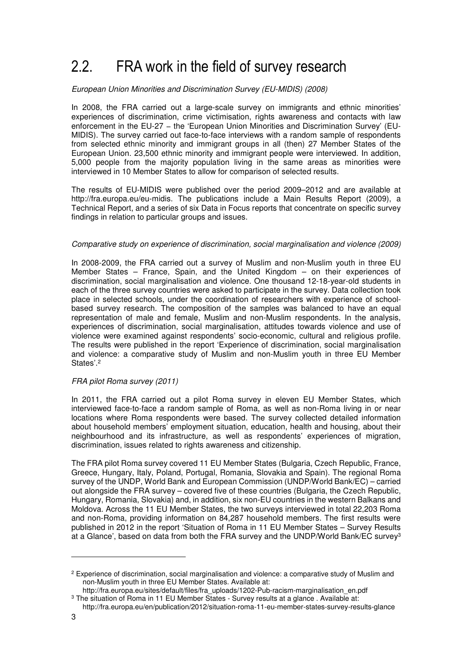## 2.2. FRA work in the field of survey research

#### European Union Minorities and Discrimination Survey (EU-MIDIS) (2008)

In 2008, the FRA carried out a large-scale survey on immigrants and ethnic minorities' experiences of discrimination, crime victimisation, rights awareness and contacts with law enforcement in the EU-27 - the 'European Union Minorities and Discrimination Survey' (EU-MIDIS). The survey carried out face-to-face interviews with a random sample of respondents from selected ethnic minority and immigrant groups in all (then) 27 Member States of the European Union. 23,500 ethnic minority and immigrant people were interviewed. In addition, 5,000 people from the majority population living in the same areas as minorities were interviewed in 10 Member States to allow for comparison of selected results.

The results of EU-MIDIS were published over the period 2009–2012 and are available at http://fra.europa.eu/eu-midis. The publications include a Main Results Report (2009), a Technical Report, and a series of six Data in Focus reports that concentrate on specific survey findings in relation to particular groups and issues.

#### Comparative study on experience of discrimination, social marginalisation and violence (2009)

In 2008-2009, the FRA carried out a survey of Muslim and non-Muslim youth in three EU Member States – France, Spain, and the United Kingdom – on their experiences of discrimination, social marginalisation and violence. One thousand 12-18-year-old students in each of the three survey countries were asked to participate in the survey. Data collection took place in selected schools, under the coordination of researchers with experience of schoolbased survey research. The composition of the samples was balanced to have an equal representation of male and female, Muslim and non-Muslim respondents. In the analysis, experiences of discrimination, social marginalisation, attitudes towards violence and use of violence were examined against respondents' socio-economic, cultural and religious profile. The results were published in the report 'Experience of discrimination, social marginalisation and violence: a comparative study of Muslim and non-Muslim youth in three EU Member States'.<sup>2</sup>

#### FRA pilot Roma survey (2011)

In 2011, the FRA carried out a pilot Roma survey in eleven EU Member States, which interviewed face-to-face a random sample of Roma, as well as non-Roma living in or near locations where Roma respondents were based. The survey collected detailed information about household members' employment situation, education, health and housing, about their neighbourhood and its infrastructure, as well as respondents' experiences of migration, discrimination, issues related to rights awareness and citizenship.

The FRA pilot Roma survey covered 11 EU Member States (Bulgaria, Czech Republic, France, Greece, Hungary, Italy, Poland, Portugal, Romania, Slovakia and Spain). The regional Roma survey of the UNDP, World Bank and European Commission (UNDP/World Bank/EC) – carried out alongside the FRA survey – covered five of these countries (Bulgaria, the Czech Republic, Hungary, Romania, Slovakia) and, in addition, six non-EU countries in the western Balkans and Moldova. Across the 11 EU Member States, the two surveys interviewed in total 22,203 Roma and non-Roma, providing information on 84,287 household members. The first results were published in 2012 in the report 'Situation of Roma in 11 EU Member States – Survey Results at a Glance', based on data from both the FRA survey and the UNDP/World Bank/EC survey<sup>3</sup>

l

<sup>&</sup>lt;sup>2</sup> Experience of discrimination, social marginalisation and violence: a comparative study of Muslim and non-Muslim youth in three EU Member States. Available at:

http://fra.europa.eu/sites/default/files/fra\_uploads/1202-Pub-racism-marginalisation\_en.pdf <sup>3</sup> The situation of Roma in 11 EU Member States - Survey results at a glance . Available at:

http://fra.europa.eu/en/publication/2012/situation-roma-11-eu-member-states-survey-results-glance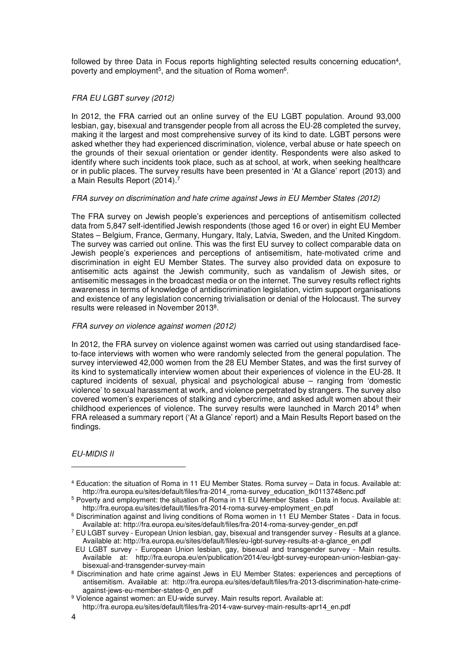followed by three Data in Focus reports highlighting selected results concerning education<sup>4</sup>, poverty and employment<sup>5</sup>, and the situation of Roma women<sup>6</sup>.

#### FRA EU LGBT survey (2012)

In 2012, the FRA carried out an online survey of the EU LGBT population. Around 93,000 lesbian, gay, bisexual and transgender people from all across the EU-28 completed the survey, making it the largest and most comprehensive survey of its kind to date. LGBT persons were asked whether they had experienced discrimination, violence, verbal abuse or hate speech on the grounds of their sexual orientation or gender identity. Respondents were also asked to identify where such incidents took place, such as at school, at work, when seeking healthcare or in public places. The survey results have been presented in 'At a Glance' report (2013) and a Main Results Report (2014).<sup>7</sup>

#### FRA survey on discrimination and hate crime against Jews in EU Member States (2012)

The FRA survey on Jewish people's experiences and perceptions of antisemitism collected data from 5,847 self-identified Jewish respondents (those aged 16 or over) in eight EU Member States – Belgium, France, Germany, Hungary, Italy, Latvia, Sweden, and the United Kingdom. The survey was carried out online. This was the first EU survey to collect comparable data on Jewish people's experiences and perceptions of antisemitism, hate-motivated crime and discrimination in eight EU Member States. The survey also provided data on exposure to antisemitic acts against the Jewish community, such as vandalism of Jewish sites, or antisemitic messages in the broadcast media or on the internet. The survey results reflect rights awareness in terms of knowledge of antidiscrimination legislation, victim support organisations and existence of any legislation concerning trivialisation or denial of the Holocaust. The survey results were released in November 2013<sup>8</sup>.

#### FRA survey on violence against women (2012)

In 2012, the FRA survey on violence against women was carried out using standardised faceto-face interviews with women who were randomly selected from the general population. The survey interviewed 42,000 women from the 28 EU Member States, and was the first survey of its kind to systematically interview women about their experiences of violence in the EU-28. It captured incidents of sexual, physical and psychological abuse – ranging from 'domestic violence' to sexual harassment at work, and violence perpetrated by strangers. The survey also covered women's experiences of stalking and cybercrime, and asked adult women about their childhood experiences of violence. The survey results were launched in March 2014<sup>9</sup> when FRA released a summary report ('At a Glance' report) and a Main Results Report based on the findings.

#### EU-MIDIS II

<sup>4</sup> Education: the situation of Roma in 11 EU Member States. Roma survey – Data in focus. Available at: http://fra.europa.eu/sites/default/files/fra-2014\_roma-survey\_education\_tk0113748enc.pdf

<sup>&</sup>lt;sup>5</sup> Poverty and employment: the situation of Roma in 11 EU Member States - Data in focus. Available at: http://fra.europa.eu/sites/default/files/fra-2014-roma-survey-employment\_en.pdf

<sup>6</sup> Discrimination against and living conditions of Roma women in 11 EU Member States - Data in focus. Available at: http://fra.europa.eu/sites/default/files/fra-2014-roma-survey-gender\_en.pdf

<sup>7</sup> EU LGBT survey - European Union lesbian, gay, bisexual and transgender survey - Results at a glance. Available at: http://fra.europa.eu/sites/default/files/eu-lgbt-survey-results-at-a-glance\_en.pdf

EU LGBT survey - European Union lesbian, gay, bisexual and transgender survey - Main results. Available at: http://fra.europa.eu/en/publication/2014/eu-lgbt-survey-european-union-lesbian-gaybisexual-and-transgender-survey-main

<sup>&</sup>lt;sup>8</sup> Discrimination and hate crime against Jews in EU Member States: experiences and perceptions of antisemitism. Available at: http://fra.europa.eu/sites/default/files/fra-2013-discrimination-hate-crimeagainst-jews-eu-member-states-0\_en.pdf

<sup>&</sup>lt;sup>9</sup> Violence against women: an EU-wide survey. Main results report. Available at:

http://fra.europa.eu/sites/default/files/fra-2014-vaw-survey-main-results-apr14\_en.pdf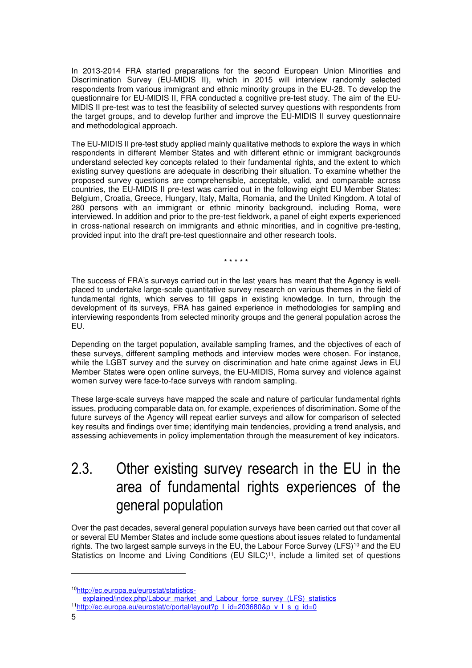In 2013-2014 FRA started preparations for the second European Union Minorities and Discrimination Survey (EU-MIDIS II), which in 2015 will interview randomly selected respondents from various immigrant and ethnic minority groups in the EU-28. To develop the questionnaire for EU-MIDIS II, FRA conducted a cognitive pre-test study. The aim of the EU-MIDIS II pre-test was to test the feasibility of selected survey questions with respondents from the target groups, and to develop further and improve the EU-MIDIS II survey questionnaire and methodological approach.

The EU-MIDIS II pre-test study applied mainly qualitative methods to explore the ways in which respondents in different Member States and with different ethnic or immigrant backgrounds understand selected key concepts related to their fundamental rights, and the extent to which existing survey questions are adequate in describing their situation. To examine whether the proposed survey questions are comprehensible, acceptable, valid, and comparable across countries, the EU-MIDIS II pre-test was carried out in the following eight EU Member States: Belgium, Croatia, Greece, Hungary, Italy, Malta, Romania, and the United Kingdom. A total of 280 persons with an immigrant or ethnic minority background, including Roma, were interviewed. In addition and prior to the pre-test fieldwork, a panel of eight experts experienced in cross-national research on immigrants and ethnic minorities, and in cognitive pre-testing, provided input into the draft pre-test questionnaire and other research tools.

\* \* \* \* \*

The success of FRA's surveys carried out in the last years has meant that the Agency is wellplaced to undertake large-scale quantitative survey research on various themes in the field of fundamental rights, which serves to fill gaps in existing knowledge. In turn, through the development of its surveys, FRA has gained experience in methodologies for sampling and interviewing respondents from selected minority groups and the general population across the EU.

Depending on the target population, available sampling frames, and the objectives of each of these surveys, different sampling methods and interview modes were chosen. For instance, while the LGBT survey and the survey on discrimination and hate crime against Jews in EU Member States were open online surveys, the EU-MIDIS, Roma survey and violence against women survey were face-to-face surveys with random sampling.

These large-scale surveys have mapped the scale and nature of particular fundamental rights issues, producing comparable data on, for example, experiences of discrimination. Some of the future surveys of the Agency will repeat earlier surveys and allow for comparison of selected key results and findings over time; identifying main tendencies, providing a trend analysis, and assessing achievements in policy implementation through the measurement of key indicators.

### 2.3. Other existing survey research in the EU in the area of fundamental rights experiences of the general population

Over the past decades, several general population surveys have been carried out that cover all or several EU Member States and include some questions about issues related to fundamental rights. The two largest sample surveys in the EU, the Labour Force Survey (LFS)<sup>10</sup> and the EU Statistics on Income and Living Conditions (EU SILC)<sup>11</sup>, include a limited set of questions

<sup>10</sup>http://ec.europa.eu/eurostat/statistics-

explained/index.php/Labour\_market\_and\_Labour\_force\_survey\_(LFS)\_statistics

<sup>11</sup>http://ec.europa.eu/eurostat/c/portal/layout?p\_l\_id=203680&p\_v\_l\_s\_g\_id=0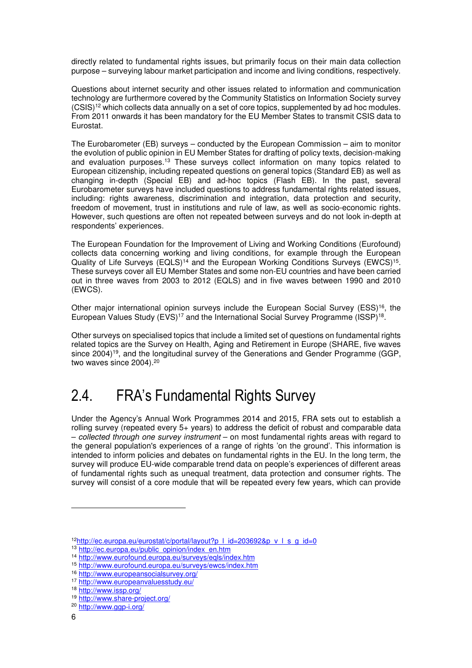directly related to fundamental rights issues, but primarily focus on their main data collection purpose – surveying labour market participation and income and living conditions, respectively.

Questions about internet security and other issues related to information and communication technology are furthermore covered by the Community Statistics on Information Society survey (CSIS)<sup>12</sup> which collects data annually on a set of core topics, supplemented by ad hoc modules. From 2011 onwards it has been mandatory for the EU Member States to transmit CSIS data to Eurostat.

The Eurobarometer (EB) surveys – conducted by the European Commission – aim to monitor the evolution of public opinion in EU Member States for drafting of policy texts, decision-making and evaluation purposes.<sup>13</sup> These surveys collect information on many topics related to European citizenship, including repeated questions on general topics (Standard EB) as well as changing in-depth (Special EB) and ad-hoc topics (Flash EB). In the past, several Eurobarometer surveys have included questions to address fundamental rights related issues, including: rights awareness, discrimination and integration, data protection and security, freedom of movement, trust in institutions and rule of law, as well as socio-economic rights. However, such questions are often not repeated between surveys and do not look in-depth at respondents' experiences.

The European Foundation for the Improvement of Living and Working Conditions (Eurofound) collects data concerning working and living conditions, for example through the European Quality of Life Surveys (EQLS)<sup>14</sup> and the European Working Conditions Surveys (EWCS)<sup>15</sup>. These surveys cover all EU Member States and some non-EU countries and have been carried out in three waves from 2003 to 2012 (EQLS) and in five waves between 1990 and 2010 (EWCS).

Other major international opinion surveys include the European Social Survey (ESS)<sup>16</sup>, the European Values Study (EVS)<sup>17</sup> and the International Social Survey Programme (ISSP)<sup>18</sup>.

Other surveys on specialised topics that include a limited set of questions on fundamental rights related topics are the Survey on Health, Aging and Retirement in Europe (SHARE, five waves since 2004)<sup>19</sup>, and the longitudinal survey of the Generations and Gender Programme (GGP, two waves since 2004).<sup>20</sup>

### 2.4. FRA's Fundamental Rights Survey

Under the Agency's Annual Work Programmes 2014 and 2015, FRA sets out to establish a rolling survey (repeated every 5+ years) to address the deficit of robust and comparable data – collected through one survey instrument – on most fundamental rights areas with regard to the general population's experiences of a range of rights 'on the ground'. This information is intended to inform policies and debates on fundamental rights in the EU. In the long term, the survey will produce EU-wide comparable trend data on people's experiences of different areas of fundamental rights such as unequal treatment, data protection and consumer rights. The survey will consist of a core module that will be repeated every few years, which can provide

<sup>12</sup>http://ec.europa.eu/eurostat/c/portal/layout?p | id=203692&p\_v | s\_g\_id=0

<sup>13</sup> http://ec.europa.eu/public\_opinion/index\_en.htm

<sup>14</sup> http://www.eurofound.europa.eu/surveys/eqls/index.htm

<sup>15</sup> http://www.eurofound.europa.eu/surveys/ewcs/index.htm

<sup>16</sup> http://www.europeansocialsurvey.org/

<sup>17</sup> http://www.europeanvaluesstudy.eu/

<sup>18</sup> http://www.issp.org/

<sup>19</sup> http://www.share-project.org/

<sup>20</sup> http://www.ggp-i.org/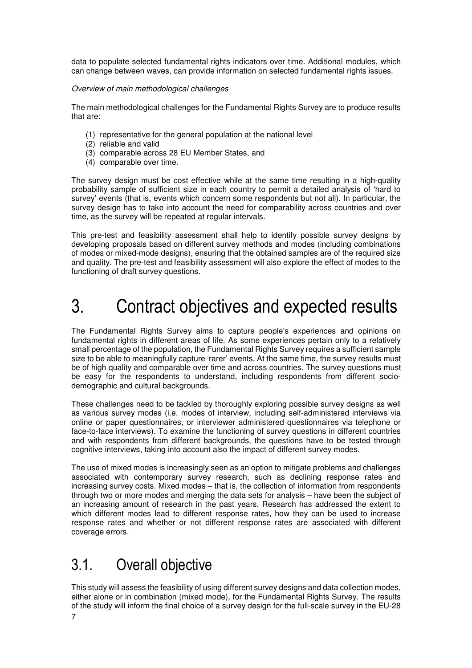data to populate selected fundamental rights indicators over time. Additional modules, which can change between waves, can provide information on selected fundamental rights issues.

#### Overview of main methodological challenges

The main methodological challenges for the Fundamental Rights Survey are to produce results that are:

- (1) representative for the general population at the national level
- (2) reliable and valid
- (3) comparable across 28 EU Member States, and
- (4) comparable over time.

The survey design must be cost effective while at the same time resulting in a high-quality probability sample of sufficient size in each country to permit a detailed analysis of 'hard to survey' events (that is, events which concern some respondents but not all). In particular, the survey design has to take into account the need for comparability across countries and over time, as the survey will be repeated at regular intervals.

This pre-test and feasibility assessment shall help to identify possible survey designs by developing proposals based on different survey methods and modes (including combinations of modes or mixed-mode designs), ensuring that the obtained samples are of the required size and quality. The pre-test and feasibility assessment will also explore the effect of modes to the functioning of draft survey questions.

# 3. Contract objectives and expected results

The Fundamental Rights Survey aims to capture people's experiences and opinions on fundamental rights in different areas of life. As some experiences pertain only to a relatively small percentage of the population, the Fundamental Rights Survey requires a sufficient sample size to be able to meaningfully capture 'rarer' events. At the same time, the survey results must be of high quality and comparable over time and across countries. The survey questions must be easy for the respondents to understand, including respondents from different sociodemographic and cultural backgrounds.

These challenges need to be tackled by thoroughly exploring possible survey designs as well as various survey modes (i.e. modes of interview, including self-administered interviews via online or paper questionnaires, or interviewer administered questionnaires via telephone or face-to-face interviews). To examine the functioning of survey questions in different countries and with respondents from different backgrounds, the questions have to be tested through cognitive interviews, taking into account also the impact of different survey modes.

The use of mixed modes is increasingly seen as an option to mitigate problems and challenges associated with contemporary survey research, such as declining response rates and increasing survey costs. Mixed modes – that is, the collection of information from respondents through two or more modes and merging the data sets for analysis – have been the subject of an increasing amount of research in the past years. Research has addressed the extent to which different modes lead to different response rates, how they can be used to increase response rates and whether or not different response rates are associated with different coverage errors.

### 3.1. Overall objective

This study will assess the feasibility of using different survey designs and data collection modes, either alone or in combination (mixed mode), for the Fundamental Rights Survey. The results of the study will inform the final choice of a survey design for the full-scale survey in the EU-28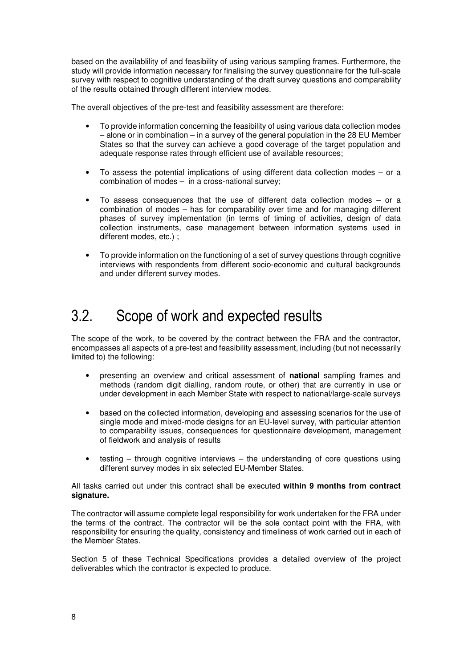based on the availablility of and feasibility of using various sampling frames. Furthermore, the study will provide information necessary for finalising the survey questionnaire for the full-scale survey with respect to cognitive understanding of the draft survey questions and comparability of the results obtained through different interview modes.

The overall objectives of the pre-test and feasibility assessment are therefore:

- To provide information concerning the feasibility of using various data collection modes – alone or in combination – in a survey of the general population in the 28 EU Member States so that the survey can achieve a good coverage of the target population and adequate response rates through efficient use of available resources;
- To assess the potential implications of using different data collection modes  $-$  or a combination of modes – in a cross-national survey;
- To assess consequences that the use of different data collection modes  $-$  or a combination of modes – has for comparability over time and for managing different phases of survey implementation (in terms of timing of activities, design of data collection instruments, case management between information systems used in different modes, etc.) ;
- To provide information on the functioning of a set of survey questions through cognitive interviews with respondents from different socio-economic and cultural backgrounds and under different survey modes.

### 3.2. Scope of work and expected results

The scope of the work, to be covered by the contract between the FRA and the contractor, encompasses all aspects of a pre-test and feasibility assessment, including (but not necessarily limited to) the following:

- presenting an overview and critical assessment of **national** sampling frames and methods (random digit dialling, random route, or other) that are currently in use or under development in each Member State with respect to national/large-scale surveys
- based on the collected information, developing and assessing scenarios for the use of single mode and mixed-mode designs for an EU-level survey, with particular attention to comparability issues, consequences for questionnaire development, management of fieldwork and analysis of results
- testing  $-$  through cognitive interviews  $-$  the understanding of core questions using different survey modes in six selected EU-Member States.

All tasks carried out under this contract shall be executed **within 9 months from contract signature.**

The contractor will assume complete legal responsibility for work undertaken for the FRA under the terms of the contract. The contractor will be the sole contact point with the FRA, with responsibility for ensuring the quality, consistency and timeliness of work carried out in each of the Member States.

Section 5 of these Technical Specifications provides a detailed overview of the project deliverables which the contractor is expected to produce.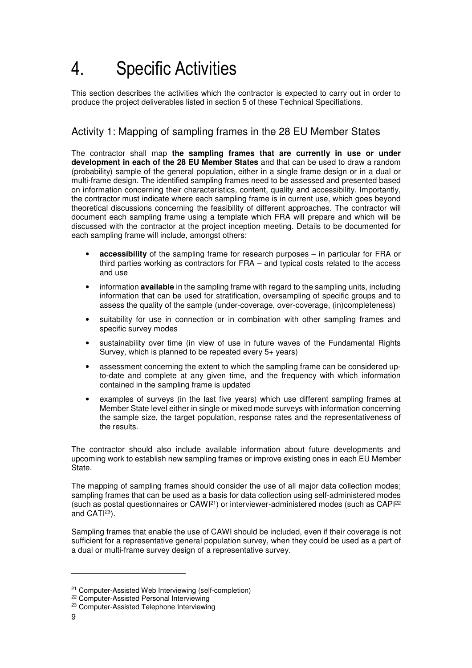# 4. Specific Activities

This section describes the activities which the contractor is expected to carry out in order to produce the project deliverables listed in section 5 of these Technical Specifiations.

### Activity 1: Mapping of sampling frames in the 28 EU Member States

The contractor shall map **the sampling frames that are currently in use or under development in each of the 28 EU Member States** and that can be used to draw a random (probability) sample of the general population, either in a single frame design or in a dual or multi-frame design. The identified sampling frames need to be assessed and presented based on information concerning their characteristics, content, quality and accessibility. Importantly, the contractor must indicate where each sampling frame is in current use, which goes beyond theoretical discussions concerning the feasibility of different approaches. The contractor will document each sampling frame using a template which FRA will prepare and which will be discussed with the contractor at the project inception meeting. Details to be documented for each sampling frame will include, amongst others:

- **accessibility** of the sampling frame for research purposes in particular for FRA or third parties working as contractors for FRA – and typical costs related to the access and use
- information **available** in the sampling frame with regard to the sampling units, including information that can be used for stratification, oversampling of specific groups and to assess the quality of the sample (under-coverage, over-coverage, (in)completeness)
- suitability for use in connection or in combination with other sampling frames and specific survey modes
- sustainability over time (in view of use in future waves of the Fundamental Rights Survey, which is planned to be repeated every 5+ years)
- assessment concerning the extent to which the sampling frame can be considered upto-date and complete at any given time, and the frequency with which information contained in the sampling frame is updated
- examples of surveys (in the last five years) which use different sampling frames at Member State level either in single or mixed mode surveys with information concerning the sample size, the target population, response rates and the representativeness of the results.

The contractor should also include available information about future developments and upcoming work to establish new sampling frames or improve existing ones in each EU Member State.

The mapping of sampling frames should consider the use of all major data collection modes; sampling frames that can be used as a basis for data collection using self-administered modes (such as postal questionnaires or CAWI<sup>21</sup>) or interviewer-administered modes (such as CAPI<sup>22</sup> and CATI<sup>23</sup>).

Sampling frames that enable the use of CAWI should be included, even if their coverage is not sufficient for a representative general population survey, when they could be used as a part of a dual or multi-frame survey design of a representative survey.

<sup>21</sup> Computer-Assisted Web Interviewing (self-completion)

<sup>&</sup>lt;sup>22</sup> Computer-Assisted Personal Interviewing

<sup>23</sup> Computer-Assisted Telephone Interviewing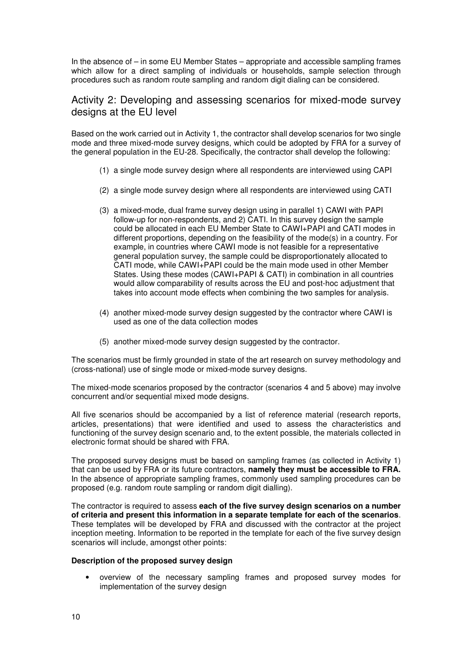In the absence of – in some EU Member States – appropriate and accessible sampling frames which allow for a direct sampling of individuals or households, sample selection through procedures such as random route sampling and random digit dialing can be considered.

### Activity 2: Developing and assessing scenarios for mixed-mode survey designs at the EU level

Based on the work carried out in Activity 1, the contractor shall develop scenarios for two single mode and three mixed-mode survey designs, which could be adopted by FRA for a survey of the general population in the EU-28. Specifically, the contractor shall develop the following:

- (1) a single mode survey design where all respondents are interviewed using CAPI
- (2) a single mode survey design where all respondents are interviewed using CATI
- (3) a mixed-mode, dual frame survey design using in parallel 1) CAWI with PAPI follow-up for non-respondents, and 2) CATI. In this survey design the sample could be allocated in each EU Member State to CAWI+PAPI and CATI modes in different proportions, depending on the feasibility of the mode(s) in a country. For example, in countries where CAWI mode is not feasible for a representative general population survey, the sample could be disproportionately allocated to CATI mode, while CAWI+PAPI could be the main mode used in other Member States. Using these modes (CAWI+PAPI & CATI) in combination in all countries would allow comparability of results across the EU and post-hoc adjustment that takes into account mode effects when combining the two samples for analysis.
- (4) another mixed-mode survey design suggested by the contractor where CAWI is used as one of the data collection modes
- (5) another mixed-mode survey design suggested by the contractor.

The scenarios must be firmly grounded in state of the art research on survey methodology and (cross-national) use of single mode or mixed-mode survey designs.

The mixed-mode scenarios proposed by the contractor (scenarios 4 and 5 above) may involve concurrent and/or sequential mixed mode designs.

All five scenarios should be accompanied by a list of reference material (research reports, articles, presentations) that were identified and used to assess the characteristics and functioning of the survey design scenario and, to the extent possible, the materials collected in electronic format should be shared with FRA.

The proposed survey designs must be based on sampling frames (as collected in Activity 1) that can be used by FRA or its future contractors, **namely they must be accessible to FRA.**  In the absence of appropriate sampling frames, commonly used sampling procedures can be proposed (e.g. random route sampling or random digit dialling).

The contractor is required to assess **each of the five survey design scenarios on a number of criteria and present this information in a separate template for each of the scenarios**. These templates will be developed by FRA and discussed with the contractor at the project inception meeting. Information to be reported in the template for each of the five survey design scenarios will include, amongst other points:

#### **Description of the proposed survey design**

• overview of the necessary sampling frames and proposed survey modes for implementation of the survey design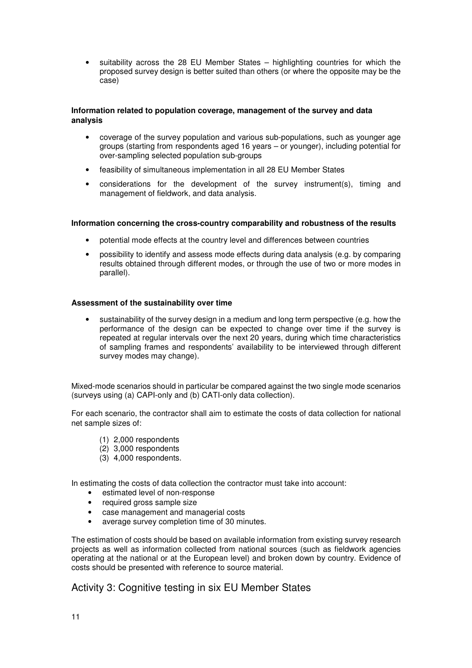• suitability across the 28 EU Member States – highlighting countries for which the proposed survey design is better suited than others (or where the opposite may be the case)

#### **Information related to population coverage, management of the survey and data analysis**

- coverage of the survey population and various sub-populations, such as younger age groups (starting from respondents aged 16 years – or younger), including potential for over-sampling selected population sub-groups
- feasibility of simultaneous implementation in all 28 EU Member States
- considerations for the development of the survey instrument(s), timing and management of fieldwork, and data analysis.

#### **Information concerning the cross-country comparability and robustness of the results**

- potential mode effects at the country level and differences between countries
- possibility to identify and assess mode effects during data analysis (e.g. by comparing results obtained through different modes, or through the use of two or more modes in parallel).

#### **Assessment of the sustainability over time**

• sustainability of the survey design in a medium and long term perspective (e.g. how the performance of the design can be expected to change over time if the survey is repeated at regular intervals over the next 20 years, during which time characteristics of sampling frames and respondents' availability to be interviewed through different survey modes may change).

Mixed-mode scenarios should in particular be compared against the two single mode scenarios (surveys using (a) CAPI-only and (b) CATI-only data collection).

For each scenario, the contractor shall aim to estimate the costs of data collection for national net sample sizes of:

- (1) 2,000 respondents
- (2) 3,000 respondents
- (3) 4,000 respondents.

In estimating the costs of data collection the contractor must take into account:

- estimated level of non-response
- required gross sample size
- case management and managerial costs
- average survey completion time of 30 minutes.

The estimation of costs should be based on available information from existing survey research projects as well as information collected from national sources (such as fieldwork agencies operating at the national or at the European level) and broken down by country. Evidence of costs should be presented with reference to source material.

### Activity 3: Cognitive testing in six EU Member States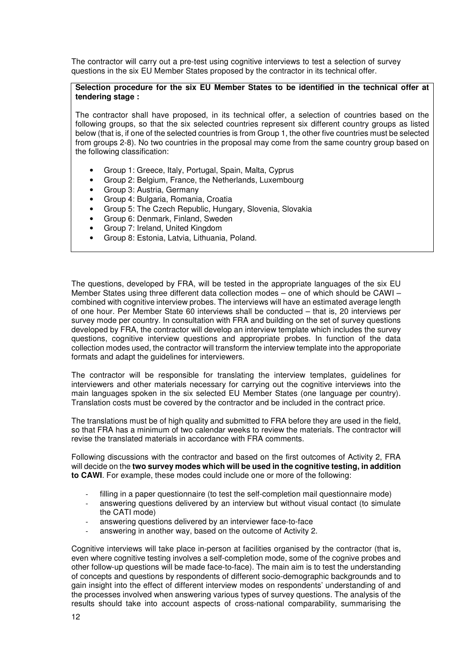The contractor will carry out a pre-test using cognitive interviews to test a selection of survey questions in the six EU Member States proposed by the contractor in its technical offer.

#### **Selection procedure for the six EU Member States to be identified in the technical offer at tendering stage :**

The contractor shall have proposed, in its technical offer, a selection of countries based on the following groups, so that the six selected countries represent six different country groups as listed below (that is, if one of the selected countries is from Group 1, the other five countries must be selected from groups 2-8). No two countries in the proposal may come from the same country group based on the following classification:

- Group 1: Greece, Italy, Portugal, Spain, Malta, Cyprus
- Group 2: Belgium, France, the Netherlands, Luxembourg
- Group 3: Austria, Germany
- Group 4: Bulgaria, Romania, Croatia
- Group 5: The Czech Republic, Hungary, Slovenia, Slovakia
- Group 6: Denmark, Finland, Sweden
- Group 7: Ireland, United Kingdom
- Group 8: Estonia, Latvia, Lithuania, Poland.

The questions, developed by FRA, will be tested in the appropriate languages of the six EU Member States using three different data collection modes – one of which should be CAWI – combined with cognitive interview probes. The interviews will have an estimated average length of one hour. Per Member State 60 interviews shall be conducted – that is, 20 interviews per survey mode per country. In consultation with FRA and building on the set of survey questions developed by FRA, the contractor will develop an interview template which includes the survey questions, cognitive interview questions and appropriate probes. In function of the data collection modes used, the contractor will transform the interview template into the approporiate formats and adapt the guidelines for interviewers.

The contractor will be responsible for translating the interview templates, guidelines for interviewers and other materials necessary for carrying out the cognitive interviews into the main languages spoken in the six selected EU Member States (one language per country). Translation costs must be covered by the contractor and be included in the contract price.

The translations must be of high quality and submitted to FRA before they are used in the field, so that FRA has a minimum of two calendar weeks to review the materials. The contractor will revise the translated materials in accordance with FRA comments.

Following discussions with the contractor and based on the first outcomes of Activity 2, FRA will decide on the **two survey modes which will be used in the cognitive testing, in addition to CAWI**. For example, these modes could include one or more of the following:

- filling in a paper questionnaire (to test the self-completion mail questionnaire mode)
- answering questions delivered by an interview but without visual contact (to simulate the CATI mode)
- answering questions delivered by an interviewer face-to-face
- answering in another way, based on the outcome of Activity 2.

Cognitive interviews will take place in-person at facilities organised by the contractor (that is, even where cognitive testing involves a self-completion mode, some of the cognive probes and other follow-up questions will be made face-to-face). The main aim is to test the understanding of concepts and questions by respondents of different socio-demographic backgrounds and to gain insight into the effect of different interview modes on respondents' understanding of and the processes involved when answering various types of survey questions. The analysis of the results should take into account aspects of cross-national comparability, summarising the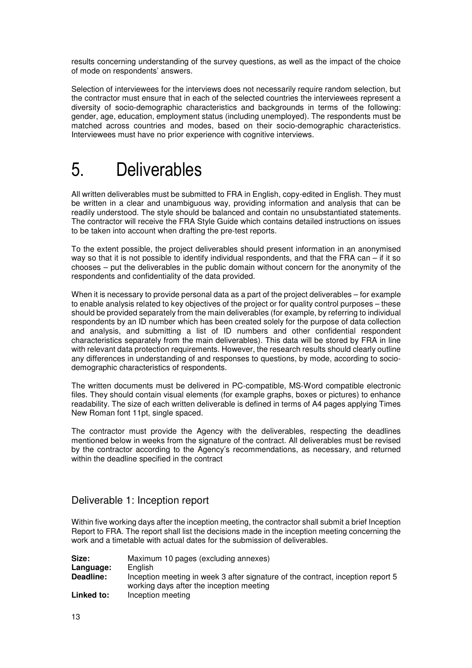results concerning understanding of the survey questions, as well as the impact of the choice of mode on respondents' answers.

Selection of interviewees for the interviews does not necessarily require random selection, but the contractor must ensure that in each of the selected countries the interviewees represent a diversity of socio-demographic characteristics and backgrounds in terms of the following: gender, age, education, employment status (including unemployed). The respondents must be matched across countries and modes, based on their socio-demographic characteristics. Interviewees must have no prior experience with cognitive interviews.

# 5. Deliverables

All written deliverables must be submitted to FRA in English, copy-edited in English. They must be written in a clear and unambiguous way, providing information and analysis that can be readily understood. The style should be balanced and contain no unsubstantiated statements. The contractor will receive the FRA Style Guide which contains detailed instructions on issues to be taken into account when drafting the pre-test reports.

To the extent possible, the project deliverables should present information in an anonymised way so that it is not possible to identify individual respondents, and that the FRA can – if it so chooses – put the deliverables in the public domain without concern for the anonymity of the respondents and confidentiality of the data provided.

When it is necessary to provide personal data as a part of the project deliverables – for example to enable analysis related to key objectives of the project or for quality control purposes – these should be provided separately from the main deliverables (for example, by referring to individual respondents by an ID number which has been created solely for the purpose of data collection and analysis, and submitting a list of ID numbers and other confidential respondent characteristics separately from the main deliverables). This data will be stored by FRA in line with relevant data protection requirements. However, the research results should clearly outline any differences in understanding of and responses to questions, by mode, according to sociodemographic characteristics of respondents.

The written documents must be delivered in PC-compatible, MS-Word compatible electronic files. They should contain visual elements (for example graphs, boxes or pictures) to enhance readability. The size of each written deliverable is defined in terms of A4 pages applying Times New Roman font 11pt, single spaced.

The contractor must provide the Agency with the deliverables, respecting the deadlines mentioned below in weeks from the signature of the contract. All deliverables must be revised by the contractor according to the Agency's recommendations, as necessary, and returned within the deadline specified in the contract

### Deliverable 1: Inception report

Within five working days after the inception meeting, the contractor shall submit a brief Inception Report to FRA. The report shall list the decisions made in the inception meeting concerning the work and a timetable with actual dates for the submission of deliverables.

| Size:      | Maximum 10 pages (excluding annexes)                                                                                        |
|------------|-----------------------------------------------------------------------------------------------------------------------------|
| Language:  | English                                                                                                                     |
| Deadline:  | Inception meeting in week 3 after signature of the contract, inception report 5<br>working days after the inception meeting |
| Linked to: | Inception meeting                                                                                                           |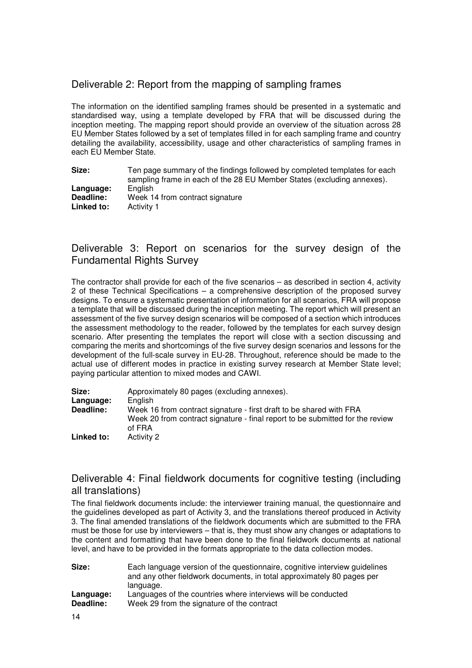### Deliverable 2: Report from the mapping of sampling frames

The information on the identified sampling frames should be presented in a systematic and standardised way, using a template developed by FRA that will be discussed during the inception meeting. The mapping report should provide an overview of the situation across 28 EU Member States followed by a set of templates filled in for each sampling frame and country detailing the availability, accessibility, usage and other characteristics of sampling frames in each EU Member State.

**Size:** Ten page summary of the findings followed by completed templates for each sampling frame in each of the 28 EU Member States (excluding annexes).<br>English Language:<br>Deadline: Week 14 from contract signature **Linked to:** Activity 1

### Deliverable 3: Report on scenarios for the survey design of the Fundamental Rights Survey

The contractor shall provide for each of the five scenarios – as described in section 4, activity 2 of these Technical Specifications – a comprehensive description of the proposed survey designs. To ensure a systematic presentation of information for all scenarios, FRA will propose a template that will be discussed during the inception meeting. The report which will present an assessment of the five survey design scenarios will be composed of a section which introduces the assessment methodology to the reader, followed by the templates for each survey design scenario. After presenting the templates the report will close with a section discussing and comparing the merits and shortcomings of the five survey design scenarios and lessons for the development of the full-scale survey in EU-28. Throughout, reference should be made to the actual use of different modes in practice in existing survey research at Member State level; paying particular attention to mixed modes and CAWI.

| Size:      | Approximately 80 pages (excluding annexes).                                                                                                                    |
|------------|----------------------------------------------------------------------------------------------------------------------------------------------------------------|
| Language:  | English                                                                                                                                                        |
| Deadline:  | Week 16 from contract signature - first draft to be shared with FRA<br>Week 20 from contract signature - final report to be submitted for the review<br>of FRA |
| Linked to: | Activity 2                                                                                                                                                     |

### Deliverable 4: Final fieldwork documents for cognitive testing (including all translations)

The final fieldwork documents include: the interviewer training manual, the questionnaire and the guidelines developed as part of Activity 3, and the translations thereof produced in Activity 3. The final amended translations of the fieldwork documents which are submitted to the FRA must be those for use by interviewers – that is, they must show any changes or adaptations to the content and formatting that have been done to the final fieldwork documents at national level, and have to be provided in the formats appropriate to the data collection modes.

| Size:     | Each language version of the questionnaire, cognitive interview guidelines |
|-----------|----------------------------------------------------------------------------|
|           | and any other fieldwork documents, in total approximately 80 pages per     |
|           | language.                                                                  |
| Language: | Languages of the countries where interviews will be conducted              |
| Deadline: | Week 29 from the signature of the contract                                 |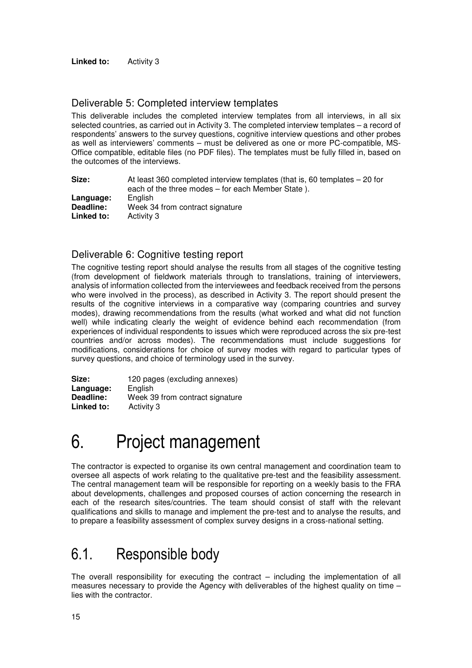### Deliverable 5: Completed interview templates

This deliverable includes the completed interview templates from all interviews, in all six selected countries, as carried out in Activity 3. The completed interview templates – a record of respondents' answers to the survey questions, cognitive interview questions and other probes as well as interviewers' comments – must be delivered as one or more PC-compatible, MS-Office compatible, editable files (no PDF files). The templates must be fully filled in, based on the outcomes of the interviews.

| Size:      | At least 360 completed interview templates (that is, 60 templates $-20$ for |
|------------|-----------------------------------------------------------------------------|
|            | each of the three modes – for each Member State).                           |
| Language:  | Enalish                                                                     |
| Deadline:  | Week 34 from contract signature                                             |
| Linked to: | Activity 3                                                                  |

### Deliverable 6: Cognitive testing report

The cognitive testing report should analyse the results from all stages of the cognitive testing (from development of fieldwork materials through to translations, training of interviewers, analysis of information collected from the interviewees and feedback received from the persons who were involved in the process), as described in Activity 3. The report should present the results of the cognitive interviews in a comparative way (comparing countries and survey modes), drawing recommendations from the results (what worked and what did not function well) while indicating clearly the weight of evidence behind each recommendation (from experiences of individual respondents to issues which were reproduced across the six pre-test countries and/or across modes). The recommendations must include suggestions for modifications, considerations for choice of survey modes with regard to particular types of survey questions, and choice of terminology used in the survey.

Size: 120 pages (excluding annexes)<br>**Language:** Finglish Language:<br>Deadline: Week 39 from contract signature **Linked to:** Activity 3

# 6. Project management

The contractor is expected to organise its own central management and coordination team to oversee all aspects of work relating to the qualitative pre-test and the feasibility assessment. The central management team will be responsible for reporting on a weekly basis to the FRA about developments, challenges and proposed courses of action concerning the research in each of the research sites/countries. The team should consist of staff with the relevant qualifications and skills to manage and implement the pre-test and to analyse the results, and to prepare a feasibility assessment of complex survey designs in a cross-national setting.

### 6.1. Responsible body

The overall responsibility for executing the contract – including the implementation of all measures necessary to provide the Agency with deliverables of the highest quality on time – lies with the contractor.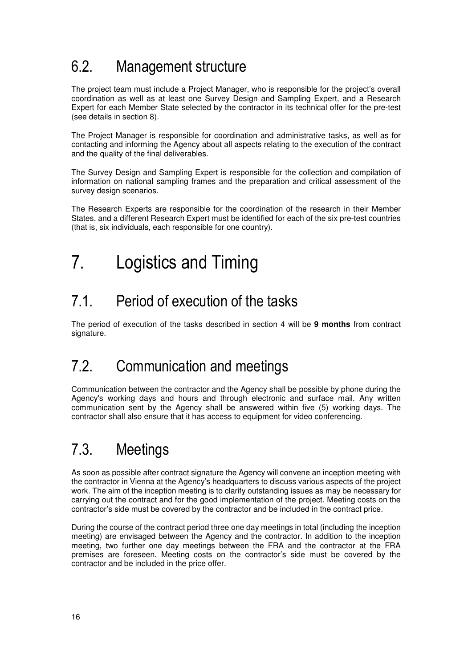## 6.2. Management structure

The project team must include a Project Manager, who is responsible for the project's overall coordination as well as at least one Survey Design and Sampling Expert, and a Research Expert for each Member State selected by the contractor in its technical offer for the pre-test (see details in section 8).

The Project Manager is responsible for coordination and administrative tasks, as well as for contacting and informing the Agency about all aspects relating to the execution of the contract and the quality of the final deliverables.

The Survey Design and Sampling Expert is responsible for the collection and compilation of information on national sampling frames and the preparation and critical assessment of the survey design scenarios.

The Research Experts are responsible for the coordination of the research in their Member States, and a different Research Expert must be identified for each of the six pre-test countries (that is, six individuals, each responsible for one country).

# 7. Logistics and Timing

## 7.1. Period of execution of the tasks

The period of execution of the tasks described in section 4 will be **9 months** from contract signature.

## 7.2. Communication and meetings

Communication between the contractor and the Agency shall be possible by phone during the Agency's working days and hours and through electronic and surface mail. Any written communication sent by the Agency shall be answered within five (5) working days. The contractor shall also ensure that it has access to equipment for video conferencing.

## 7.3. Meetings

As soon as possible after contract signature the Agency will convene an inception meeting with the contractor in Vienna at the Agency's headquarters to discuss various aspects of the project work. The aim of the inception meeting is to clarify outstanding issues as may be necessary for carrying out the contract and for the good implementation of the project. Meeting costs on the contractor's side must be covered by the contractor and be included in the contract price.

During the course of the contract period three one day meetings in total (including the inception meeting) are envisaged between the Agency and the contractor. In addition to the inception meeting, two further one day meetings between the FRA and the contractor at the FRA premises are foreseen. Meeting costs on the contractor's side must be covered by the contractor and be included in the price offer.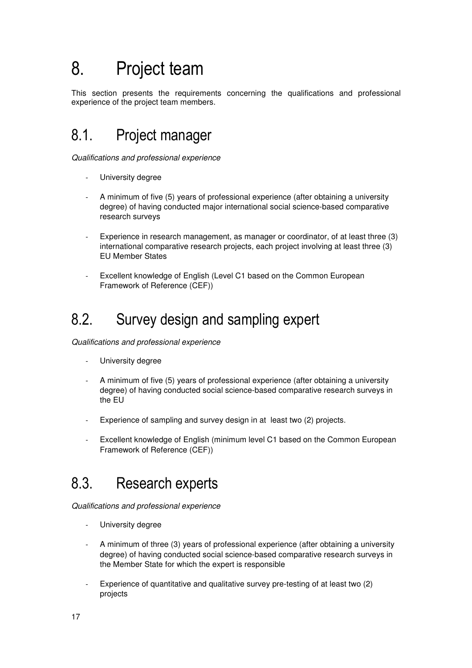# 8. Project team

This section presents the requirements concerning the qualifications and professional experience of the project team members.

## 8.1. Project manager

Qualifications and professional experience

- University degree
- A minimum of five (5) years of professional experience (after obtaining a university degree) of having conducted major international social science-based comparative research surveys
- Experience in research management, as manager or coordinator, of at least three (3) international comparative research projects, each project involving at least three (3) EU Member States
- Excellent knowledge of English (Level C1 based on the Common European Framework of Reference (CEF))

### 8.2. Survey design and sampling expert

Qualifications and professional experience

- University degree
- A minimum of five (5) years of professional experience (after obtaining a university degree) of having conducted social science-based comparative research surveys in the EU
- Experience of sampling and survey design in at least two (2) projects.
- Excellent knowledge of English (minimum level C1 based on the Common European Framework of Reference (CEF))

## 8.3. Research experts

Qualifications and professional experience

- University degree
- A minimum of three (3) years of professional experience (after obtaining a university degree) of having conducted social science-based comparative research surveys in the Member State for which the expert is responsible
- Experience of quantitative and qualitative survey pre-testing of at least two (2) projects